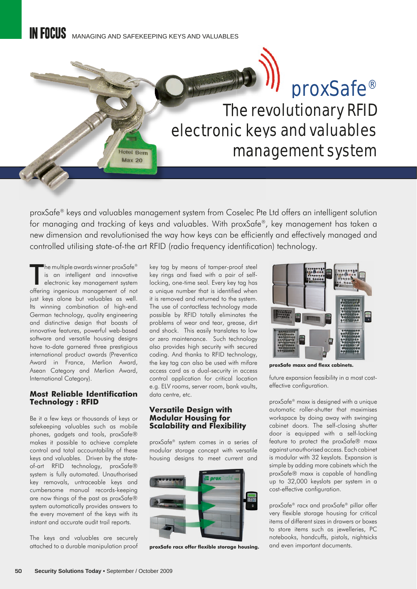**Hotel Bern Max 20** 

# proxSafe® proxSafe The revolutionary RFID electronic keys and valuables management system

proxSafe® keys and valuables management system from Coselec Pte Ltd offers an intelligent solution for managing and tracking of keys and valuables. With proxSafe®, key management has taken a new dimension and revolutionised the way how keys can be efficiently and effectively managed and controlled utilising state-of-the art RFID (radio frequency identification) technology.

The multiple awards winner proxSafe®<br>
is an intelligent and innovative<br>
electronic key management system<br>
offering ingenious management of not **"**he multiple awards winner proxSafe $^{\circledR}$ is an intelligent and innovative electronic key management system just keys alone but valuables as well. Its winning combination of high-end German technology, quality engineering and distinctive design that boasts of innovative features, powerful web-based software and versatile housing designs have to-date garnered three prestigious international product awards (Preventica Award in France, Merlion Award, Asean Category and Merlion Award, International Category).

## **Most Reliable Identification Technology : RFID**

Be it a few keys or thousands of keys or safekeeping valuables such as mobile phones, gadgets and tools, proxSafe® makes it possible to achieve complete control and total accountability of these keys and valuables. Driven by the stateof-art RFID technology, proxSafe® system is fully automated. Unauthorised key removals, untraceable keys and cumbersome manual records-keeping are now things of the past as proxSafe® system automatically provides answers to the every movement of the keys with its instant and accurate audit trail reports.

The keys and valuables are securely attached to a durable manipulation proof key tag by means of tamper-proof steel key rings and fixed with a pair of selflocking, one-time seal. Every key tag has a unique number that is identified when it is removed and returned to the system. The use of contactless technology made possible by RFID totally eliminates the problems of wear and tear, grease, dirt and shock. This easily translates to low or zero maintenance. Such technology also provides high security with secured coding. And thanks to RFID technology, the key tag can also be used with mifare access card as a dual-security in access control application for critical location e.g. ELV rooms, server room, bank vaults, data centre, etc.

## **Versatile Design with Modular Housing for Scalability and Flexibility**

proxSafe® system comes in a series of modular storage concept with versatile housing designs to meet current and



proxSafe racx offer flexible storage housing.



proxSafe maxx and flexx cabinets.

future expansion feasibility in a most costeffective configuration.

proxSafe® maxx is designed with a unique automatic roller-shutter that maximises workspace by doing away with swinging cabinet doors. The self-closing shutter door is equipped with a self-locking feature to protect the proxSafe® maxx against unauthorised access. Each cabinet is modular with 32 keyslots. Expansion is simple by adding more cabinets which the proxSafe® maxx is capable of handling up to 32,000 keyslots per system in a cost-effective configuration.

proxSafe® racx and proxSafe® pillar offer very flexible storage housing for critical items of different sizes in drawers or boxes to store items such as jewelleries, PC notebooks, handcuffs, pistols, nightsicks and even important documents.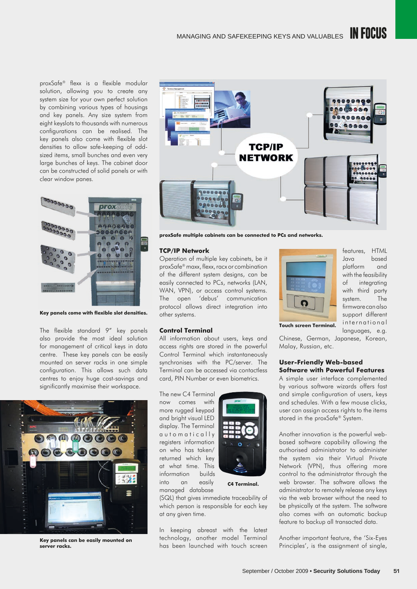proxSafe® flexx is a flexible modular solution, allowing you to create any system size for your own perfect solution by combining various types of housings and key panels. Any size system from eight keyslots to thousands with numerous configurations can be realised. The key panels also come with flexible slot densities to allow safe-keeping of oddsized items, small bunches and even very large bunches of keys. The cabinet door can be constructed of solid panels or with clear window panes.



**Key panels come with flexible slot densities.** 

The flexible standard 9" key panels also provide the most ideal solution for management of critical keys in data centre. These key panels can be easily mounted on server racks in one simple configuration. This allows such data centres to enjoy huge cost-savings and significantly maximise their workspace.



**Key panels can be easily mounted on server racks.**



**proxSafe multiple cabinets can be connected to PCs and networks.**

#### **TCP/IP Network**

Operation of multiple key cabinets, be it proxSafe® maxx, flexx, racx or combination of the different system designs, can be easily connected to PCs, networks (LAN, WAN, VPN), or access control systems. The open 'debus' communication protocol allows direct integration into other systems.

#### **Control Terminal**

All information about users, keys and access rights are stored in the powerful Control Terminal which instantaneously synchronises with the PC/server. The Terminal can be accessed via contactless card, PIN Number or even biometrics.

The new C4 Terminal now comes with more rugged keypad and bright visual LED display. The Terminal a u t o m a t i c all y registers information on who has taken/ returned which key at what time. This information builds into an easily managed database



**C4 Terminal.**

(SQL) that gives immediate traceability of which person is responsible for each key at any given time.

In keeping abreast with the latest technology, another model Terminal has been launched with touch screen



features, HTML Java based platform and with the feasibility of integrating with third party system. The firmware can also support different international languages, e.g.

**Touch screen Terminal.**

Chinese, German, Japanese, Korean, Malay, Russian, etc.

## **User-Friendly Web-based Software with Powerful Features**

A simple user interface complemented by various software wizards offers fast and simple configuration of users, keys and schedules. With a few mouse clicks, user can assign access rights to the items stored in the proxSafe® System.

Another innovation is the powerful webbased software capability allowing the authorised administrator to administer the system via their Virtual Private Network (VPN), thus offering more control to the administrator through the web browser. The software allows the administrator to remotely release any keys via the web browser without the need to be physically at the system. The software also comes with an automatic backup feature to backup all transacted data.

Another important feature, the 'Six-Eyes Principles', is the assignment of single,